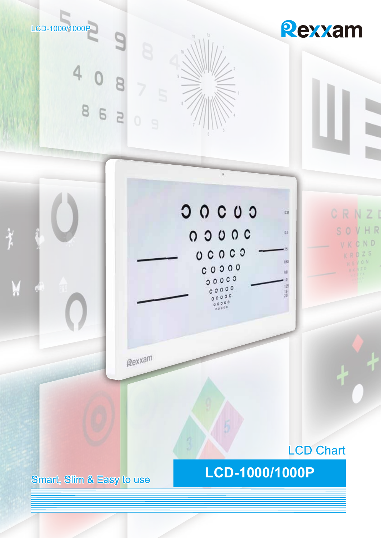